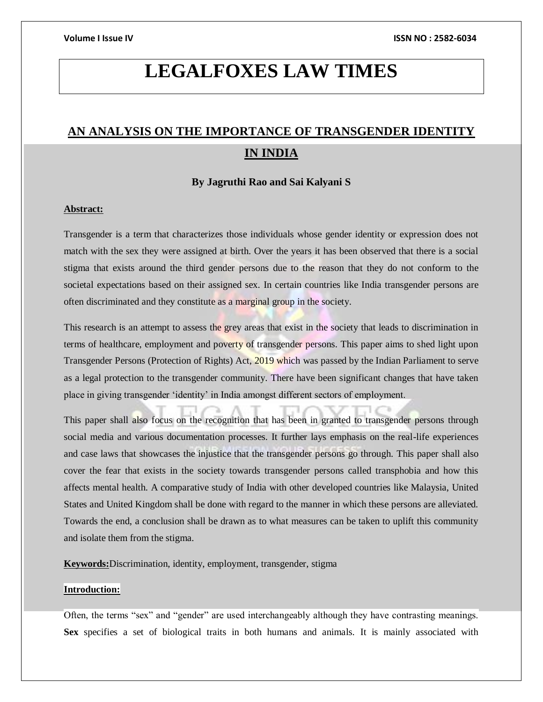# **LEGALFOXES LAW TIMES**

## **AN ANALYSIS ON THE IMPORTANCE OF TRANSGENDER IDENTITY IN INDIA**

### **By Jagruthi Rao and Sai Kalyani S**

### **Abstract:**

Transgender is a term that characterizes those individuals whose gender identity or expression does not match with the sex they were assigned at birth. Over the years it has been observed that there is a social stigma that exists around the third gender persons due to the reason that they do not conform to the societal expectations based on their assigned sex. In certain countries like India transgender persons are often discriminated and they constitute as a marginal group in the society.

This research is an attempt to assess the grey areas that exist in the society that leads to discrimination in terms of healthcare, employment and poverty of transgender persons. This paper aims to shed light upon Transgender Persons (Protection of Rights) Act, 2019 which was passed by the Indian Parliament to serve as a legal protection to the transgender community. There have been significant changes that have taken place in giving transgender 'identity' in India amongst different sectors of employment.

This paper shall also focus on the recognition that has been in granted to transgender persons through social media and various documentation processes. It further lays emphasis on the real-life experiences and case laws that showcases the injustice that the transgender persons go through. This paper shall also cover the fear that exists in the society towards transgender persons called transphobia and how this affects mental health. A comparative study of India with other developed countries like Malaysia, United States and United Kingdom shall be done with regard to the manner in which these persons are alleviated. Towards the end, a conclusion shall be drawn as to what measures can be taken to uplift this community and isolate them from the stigma.

**Keywords:**Discrimination, identity, employment, transgender, stigma

### **Introduction:**

Often, the terms "sex" and "gender" are used interchangeably although they have contrasting meanings. **Sex** specifies a set of biological traits in both humans and animals. It is mainly associated with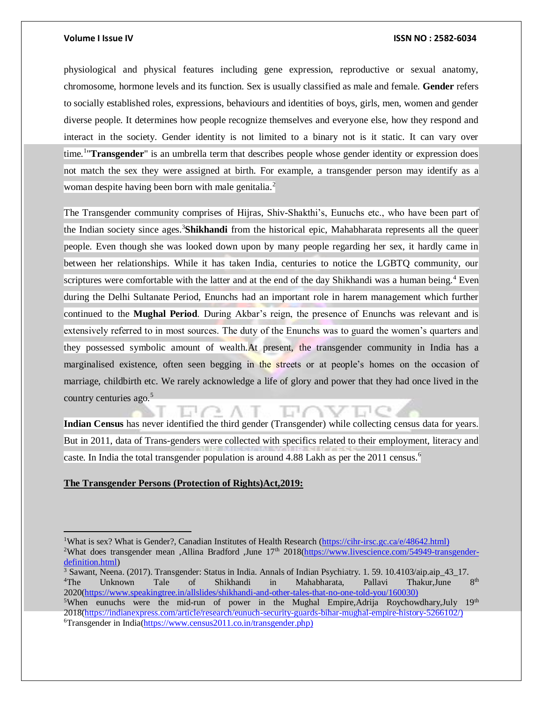physiological and physical features including gene expression, reproductive or sexual anatomy, chromosome, hormone levels and its function. Sex is usually classified as male and female. **Gender** refers to socially established roles, expressions, behaviours and identities of boys, girls, men, women and gender diverse people. It determines how people recognize themselves and everyone else, how they respond and interact in the society. Gender identity is not limited to a binary not is it static. It can vary over time.<sup>1</sup> "Transgender" is an umbrella term that describes people whose gender identity or expression does not match the sex they were assigned at birth. For example, a transgender person may identify as a woman despite having been born with male genitalia.<sup>2</sup>

The Transgender community comprises of Hijras, Shiv-Shakthi's, Eunuchs etc., who have been part of the Indian society since ages.<sup>3</sup>**Shikhandi** from the historical epic, Mahabharata represents all the queer people. Even though she was looked down upon by many people regarding her sex, it hardly came in between her relationships. While it has taken India, centuries to notice the LGBTQ community, our scriptures were comfortable with the latter and at the end of the day Shikhandi was a human being.<sup>4</sup> Even during the Delhi Sultanate Period, Enunchs had an important role in harem management which further continued to the **Mughal Period**. During Akbar's reign, the presence of Enunchs was relevant and is extensively referred to in most sources. The duty of the Enunchs was to guard the women's quarters and they possessed symbolic amount of wealth.At present, the transgender community in India has a marginalised existence, often seen begging in the streets or at people's homes on the occasion of marriage, childbirth etc. We rarely acknowledge a life of glory and power that they had once lived in the country centuries ago.<sup>5</sup>

**Indian Census** has never identified the third gender (Transgender) while collecting census data for years. But in 2011, data of Trans-genders were collected with specifics related to their employment, literacy and caste. In India the total transgender population is around 4.88 Lakh as per the 2011 census.<sup>6</sup>

### **The Transgender Persons (Protection of Rights)Act,2019:**

 $\overline{a}$ 

<sup>&</sup>lt;sup>1</sup>What is sex? What is Gender?, Canadian Institutes of Health Research [\(https://cihr-irsc.gc.ca/e/48642.html\)](https://cihr-irsc.gc.ca/e/48642.html) <sup>2</sup>What does transgender mean ,Allina Bradford ,June 17<sup>th</sup> 2018[\(https://www.livescience.com/54949-transgender](https://www.livescience.com/54949-transgender-definition.html)[definition.html\)](https://www.livescience.com/54949-transgender-definition.html)

<sup>&</sup>lt;sup>3</sup> Sawant, Neena. (2017). Transgender: Status in India. Annals of Indian Psychiatry. 1. 59. 10.4103/aip.aip 43–17. <sup>4</sup>The Unknown Tale of Shikhandi in Mahabharata, Pallavi Thakur, June  $8^{th}$ 2020[\(https://www.speakingtree.in/allslides/shikhandi-and-other-tales-that-no-one-told-you/160030\)](https://www.speakingtree.in/allslides/shikhandi-and-other-tales-that-no-one-told-you/160030) <sup>5</sup>When eunuchs were the mid-run of power in the Mughal Empire, Adrija Roychowdhary, July  $19<sup>th</sup>$ 

<sup>2018</sup>[\(https://indianexpress.com/article/research/eunuch-security-guards-bihar-mughal-empire-history-5266102/\)](https://indianexpress.com/article/research/eunuch-security-guards-bihar-mughal-empire-history-5266102/) 6Transgender in India[\(https://www.census2011.co.in/transgender.php\)](https://www.census2011.co.in/transgender.php)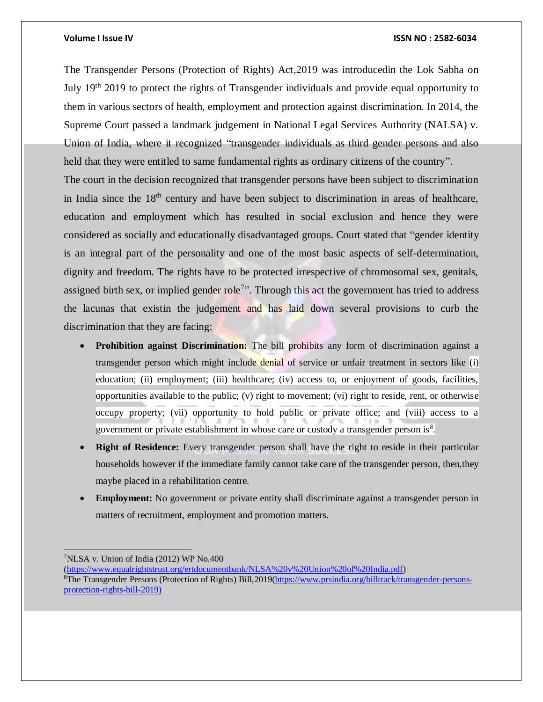The Transgender Persons (Protection of Rights) Act,2019 was introducedin the Lok Sabha on July 19th 2019 to protect the rights of Transgender individuals and provide equal opportunity to them in various sectors of health, employment and protection against discrimination. In 2014, the Supreme Court passed a landmark judgement in National Legal Services Authority (NALSA) v. Union of India, where it recognized "transgender individuals as third gender persons and also held that they were entitled to same fundamental rights as ordinary citizens of the country". The court in the decision recognized that transgender persons have been subject to discrimination in India since the  $18<sup>th</sup>$  century and have been subject to discrimination in areas of healthcare, education and employment which has resulted in social exclusion and hence they were considered as socially and educationally disadvantaged groups. Court stated that "gender identity is an integral part of the personality and one of the most basic aspects of self-determination, dignity and freedom. The rights have to be protected irrespective of chromosomal sex, genitals, assigned birth sex, or implied gender role<sup>7</sup>". Through this act the government has tried to address the lacunas that existin the judgement and has laid down several provisions to curb the discrimination that they are facing:

- **Prohibition against Discrimination:** The bill prohibits any form of discrimination against a transgender person which might include denial of service or unfair treatment in sectors like (i) education; (ii) employment; (iii) healthcare; (iv) access to, or enjoyment of goods, facilities, opportunities available to the public; (v) right to movement; (vi) right to reside, rent, or otherwise occupy property; (vii) opportunity to hold public or private office; and (viii) access to a government or private establishment in whose care or custody a transgender person is $<sup>8</sup>$ .</sup>
- **Right of Residence:** Every transgender person shall have the right to reside in their particular households however if the immediate family cannot take care of the transgender person, then,they maybe placed in a rehabilitation centre.
- **Employment:** No government or private entity shall discriminate against a transgender person in matters of recruitment, employment and promotion matters.

 $\overline{a}$ 

 $7$ NLSA v. Union of India (2012) WP No.400

[<sup>\(</sup>https://www.equalrightstrust.org/ertdocumentbank/NLSA%20v%20Union%20of%20India.pdf\)](https://www.equalrightstrust.org/ertdocumentbank/NLSA%20v%20Union%20of%20India.pdf) <sup>8</sup>The Transgender Persons (Protection of Rights) Bill,2019[\(https://www.prsindia.org/billtrack/transgender-persons](https://www.prsindia.org/billtrack/transgender-persons-protection-rights-bill-2019)[protection-rights-bill-2019\)](https://www.prsindia.org/billtrack/transgender-persons-protection-rights-bill-2019)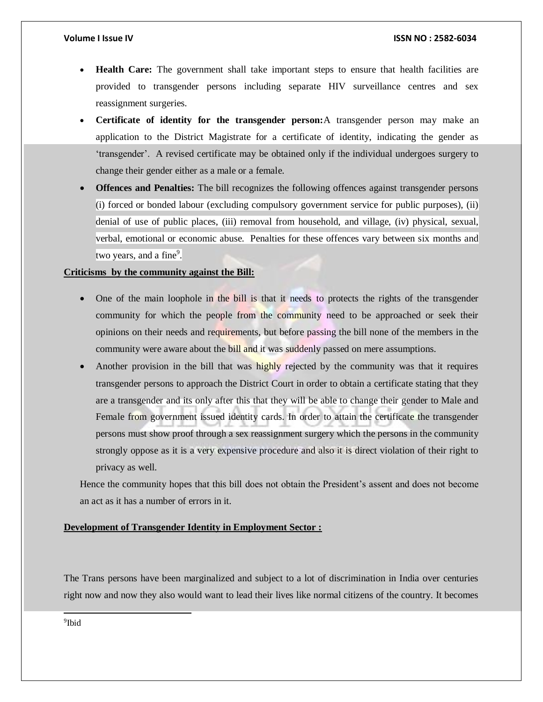- **Health Care:** The government shall take important steps to ensure that health facilities are provided to transgender persons including separate HIV surveillance centres and sex reassignment surgeries.
- **Certificate of identity for the transgender person:**A transgender person may make an application to the District Magistrate for a certificate of identity, indicating the gender as 'transgender'. A revised certificate may be obtained only if the individual undergoes surgery to change their gender either as a male or a female.
- **Offences and Penalties:** The bill recognizes the following offences against transgender persons (i) forced or bonded labour (excluding compulsory government service for public purposes), (ii) denial of use of public places, (iii) removal from household, and village, (iv) physical, sexual, verbal, emotional or economic abuse. Penalties for these offences vary between six months and two years, and a fine<sup>9</sup>.

### **Criticisms by the community against the Bill:**

- One of the main loophole in the bill is that it needs to protects the rights of the transgender community for which the people from the community need to be approached or seek their opinions on their needs and requirements, but before passing the bill none of the members in the community were aware about the bill and it was suddenly passed on mere assumptions.
- Another provision in the bill that was highly rejected by the community was that it requires transgender persons to approach the District Court in order to obtain a certificate stating that they are a transgender and its only after this that they will be able to change their gender to Male and Female from government issued identity cards. In order to attain the certificate the transgender persons must show proof through a sex reassignment surgery which the persons in the community strongly oppose as it is a very expensive procedure and also it is direct violation of their right to privacy as well.

Hence the community hopes that this bill does not obtain the President's assent and does not become an act as it has a number of errors in it.

### **Development of Transgender Identity in Employment Sector :**

The Trans persons have been marginalized and subject to a lot of discrimination in India over centuries right now and now they also would want to lead their lives like normal citizens of the country. It becomes

9 Ibid

l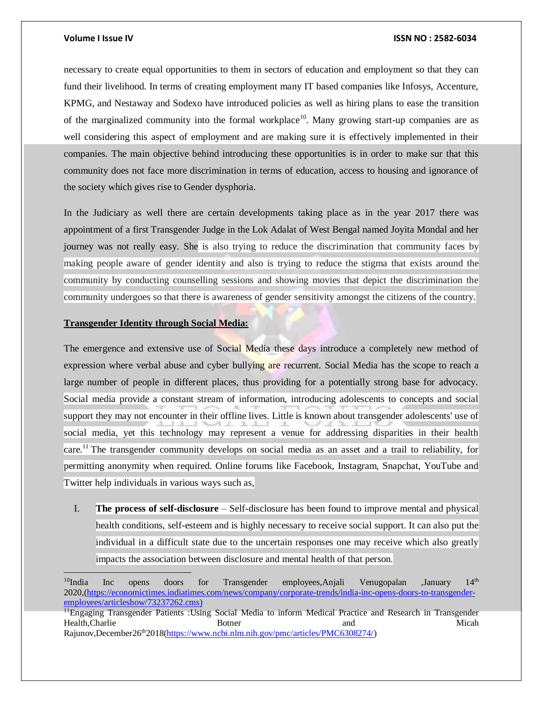necessary to create equal opportunities to them in sectors of education and employment so that they can fund their livelihood. In terms of creating employment many IT based companies like Infosys, Accenture, KPMG, and Nestaway and Sodexo have introduced policies as well as hiring plans to ease the transition of the marginalized community into the formal workplace<sup>10</sup>. Many growing start-up companies are as well considering this aspect of employment and are making sure it is effectively implemented in their companies. The main objective behind introducing these opportunities is in order to make sur that this community does not face more discrimination in terms of education, access to housing and ignorance of the society which gives rise to Gender dysphoria.

In the Judiciary as well there are certain developments taking place as in the year 2017 there was appointment of a first Transgender Judge in the Lok Adalat of West Bengal named Joyita Mondal and her journey was not really easy. She is also trying to reduce the discrimination that community faces by making people aware of gender identity and also is trying to reduce the stigma that exists around the community by conducting counselling sessions and showing movies that depict the discrimination the community undergoes so that there is awareness of gender sensitivity amongst the citizens of the country.

#### **Transgender Identity through Social Media:**

The emergence and extensive use of Social Media these days introduce a completely new method of expression where verbal abuse and cyber bullying are recurrent. Social Media has the scope to reach a large number of people in different places, thus providing for a potentially strong base for advocacy. Social media provide a constant stream of information, introducing adolescents to concepts and social support they may not encounter in their offline lives. Little is known about transgender adolescents' use of social media, yet this technology may represent a venue for addressing disparities in their health care.<sup>11</sup> The transgender community develops on social media as an asset and a trail to reliability, for permitting anonymity when required. Online forums like Facebook, Instagram, Snapchat, YouTube and Twitter help individuals in various ways such as,

I. **The process of self-disclosure** – Self-disclosure has been found to improve mental and physical health conditions, self-esteem and is highly necessary to receive social support. It can also put the individual in a difficult state due to the uncertain responses one may receive which also greatly impacts the association between disclosure and mental health of that person.

 $10$ India Inc opens doors for Transgender employees,Anjali Venugopalan ,January 14<sup>th</sup> 2020,[\(https://economictimes.indiatimes.com/news/company/corporate-trends/india-inc-opens-doors-to-transgender](https://economictimes.indiatimes.com/news/company/corporate-trends/india-inc-opens-doors-to-transgender-employees/articleshow/73237262.cms)[employees/articleshow/73237262.cms\)](https://economictimes.indiatimes.com/news/company/corporate-trends/india-inc-opens-doors-to-transgender-employees/articleshow/73237262.cms)

<sup>&</sup>lt;sup>11</sup>Engaging Transgender Patients :Using Social Media to inform Medical Practice and Research in Transgender Health,Charlie **Botner** Botner and Micah Rajunov,December26<sup>th</sup>2018[\(https://www.ncbi.nlm.nih.gov/pmc/articles/PMC6308274/\)](https://www.ncbi.nlm.nih.gov/pmc/articles/PMC6308274/)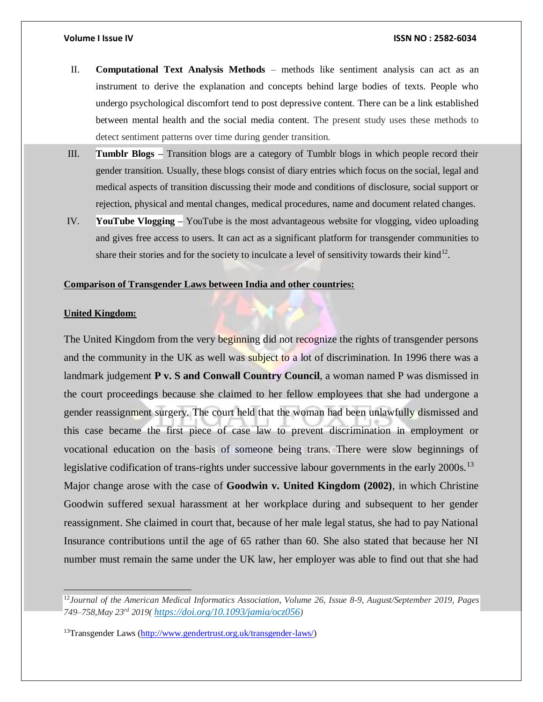- II. **Computational Text Analysis Methods**  methods like sentiment analysis can act as an instrument to derive the explanation and concepts behind large bodies of texts. People who undergo psychological discomfort tend to post depressive content. There can be a link established between mental health and the social media content. The present study uses these methods to detect sentiment patterns over time during gender transition.
- III. **Tumblr Blogs –** Transition blogs are a category of Tumblr blogs in which people record their gender transition. Usually, these blogs consist of diary entries which focus on the social, legal and medical aspects of transition discussing their mode and conditions of disclosure, social support or rejection, physical and mental changes, medical procedures, name and document related changes.
- IV. **YouTube Vlogging –** YouTube is the most advantageous website for vlogging, video uploading and gives free access to users. It can act as a significant platform for transgender communities to share their stories and for the society to inculcate a level of sensitivity towards their kind<sup>12</sup>.

### **Comparison of Transgender Laws between India and other countries:**

#### **United Kingdom:**

 $\overline{a}$ 

The United Kingdom from the very beginning did not recognize the rights of transgender persons and the community in the UK as well was subject to a lot of discrimination. In 1996 there was a landmark judgement **P v. S and Conwall Country Council**, a woman named P was dismissed in the court proceedings because she claimed to her fellow employees that she had undergone a gender reassignment surgery. The court held that the woman had been unlawfully dismissed and this case became the first piece of case law to prevent discrimination in employment or vocational education on the basis of someone being trans. There were slow beginnings of legislative codification of trans-rights under successive labour governments in the early 2000s.<sup>13</sup> Major change arose with the case of **Goodwin v. United Kingdom (2002)**, in which Christine Goodwin suffered sexual harassment at her workplace during and subsequent to her gender reassignment. She claimed in court that, because of her male legal status, she had to pay National Insurance contributions until the age of 65 rather than 60. She also stated that because her NI number must remain the same under the UK law, her employer was able to find out that she had

<sup>12</sup>*Journal of the American Medical Informatics Association, Volume 26, Issue 8-9, August/September 2019, Pages 749–758,May 23rd 2019( <https://doi.org/10.1093/jamia/ocz056>)*

<sup>13</sup>Transgender Laws [\(http://www.gendertrust.org.uk/transgender-laws/\)](http://www.gendertrust.org.uk/transgender-laws/)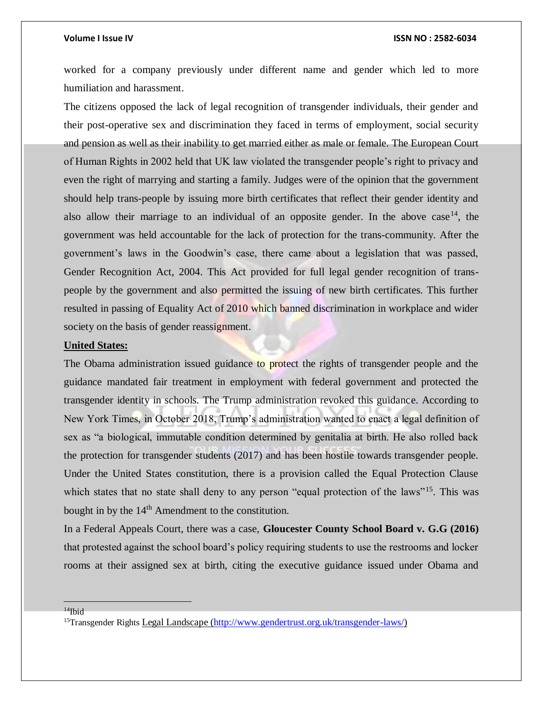worked for a company previously under different name and gender which led to more humiliation and harassment.

The citizens opposed the lack of legal recognition of transgender individuals, their gender and their post-operative sex and discrimination they faced in terms of employment, social security and pension as well as their inability to get married either as male or female. The European Court of Human Rights in 2002 held that UK law violated the transgender people's right to privacy and even the right of marrying and starting a family. Judges were of the opinion that the government should help trans-people by issuing more birth certificates that reflect their gender identity and also allow their marriage to an individual of an opposite gender. In the above case  $14$ , the government was held accountable for the lack of protection for the trans-community. After the government's laws in the Goodwin's case, there came about a legislation that was passed, Gender Recognition Act, 2004. This Act provided for full legal gender recognition of transpeople by the government and also permitted the issuing of new birth certificates. This further resulted in passing of Equality Act of 2010 which banned discrimination in workplace and wider society on the basis of gender reassignment.

### **United States:**

The Obama administration issued guidance to protect the rights of transgender people and the guidance mandated fair treatment in employment with federal government and protected the transgender identity in schools. The Trump administration revoked this guidance. According to New York Times, in October 2018, Trump's administration wanted to enact a legal definition of sex as "a biological, immutable condition determined by genitalia at birth. He also rolled back the protection for transgender students (2017) and has been hostile towards transgender people. Under the United States constitution, there is a provision called the Equal Protection Clause which states that no state shall deny to any person "equal protection of the laws"<sup>15</sup>. This was bought in by the  $14<sup>th</sup>$  Amendment to the constitution.

In a Federal Appeals Court, there was a case, **Gloucester County School Board v. G.G (2016)**  that protested against the school board's policy requiring students to use the restrooms and locker rooms at their assigned sex at birth, citing the executive guidance issued under Obama and

 $14$ Ibid

<sup>15</sup>Transgender Rights Legal Landscape [\(http://www.gendertrust.org.uk/transgender-laws/\)](http://www.gendertrust.org.uk/transgender-laws/)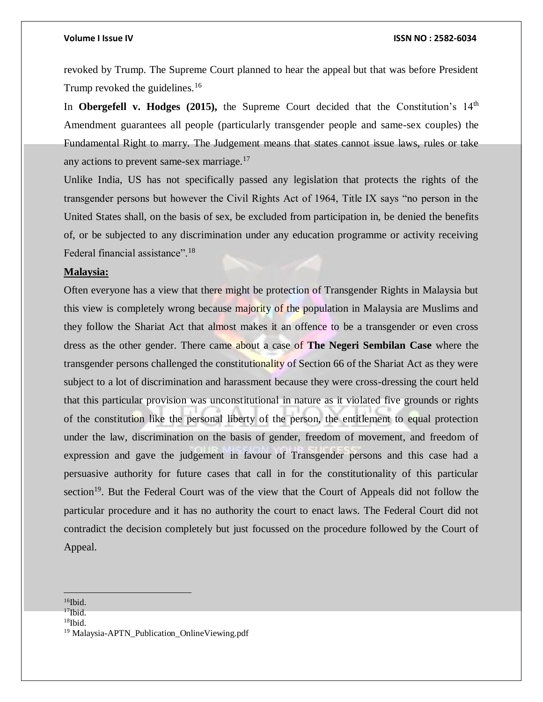revoked by Trump. The Supreme Court planned to hear the appeal but that was before President Trump revoked the guidelines.<sup>16</sup>

In **Obergefell v. Hodges** (2015), the Supreme Court decided that the Constitution's  $14<sup>th</sup>$ Amendment guarantees all people (particularly transgender people and same-sex couples) the Fundamental Right to marry. The Judgement means that states cannot issue laws, rules or take any actions to prevent same-sex marriage.<sup>17</sup>

Unlike India, US has not specifically passed any legislation that protects the rights of the transgender persons but however the Civil Rights Act of 1964, Title IX says "no person in the United States shall, on the basis of sex, be excluded from participation in, be denied the benefits of, or be subjected to any discrimination under any education programme or activity receiving Federal financial assistance".<sup>18</sup>

### **Malaysia:**

Often everyone has a view that there might be protection of Transgender Rights in Malaysia but this view is completely wrong because majority of the population in Malaysia are Muslims and they follow the Shariat Act that almost makes it an offence to be a transgender or even cross dress as the other gender. There came about a case of **The Negeri Sembilan Case** where the transgender persons challenged the constitutionality of Section 66 of the Shariat Act as they were subject to a lot of discrimination and harassment because they were cross-dressing the court held that this particular provision was unconstitutional in nature as it violated five grounds or rights of the constitution like the personal liberty of the person, the entitlement to equal protection under the law, discrimination on the basis of gender, freedom of movement, and freedom of expression and gave the judgement in favour of Transgender persons and this case had a persuasive authority for future cases that call in for the constitutionality of this particular section<sup>19</sup>. But the Federal Court was of the view that the Court of Appeals did not follow the particular procedure and it has no authority the court to enact laws. The Federal Court did not contradict the decision completely but just focussed on the procedure followed by the Court of Appeal.

  $16$ Ibid.

 $17$ Ibid.

 $18$ Ibid.

<sup>19</sup> Malaysia-APTN\_Publication\_OnlineViewing.pdf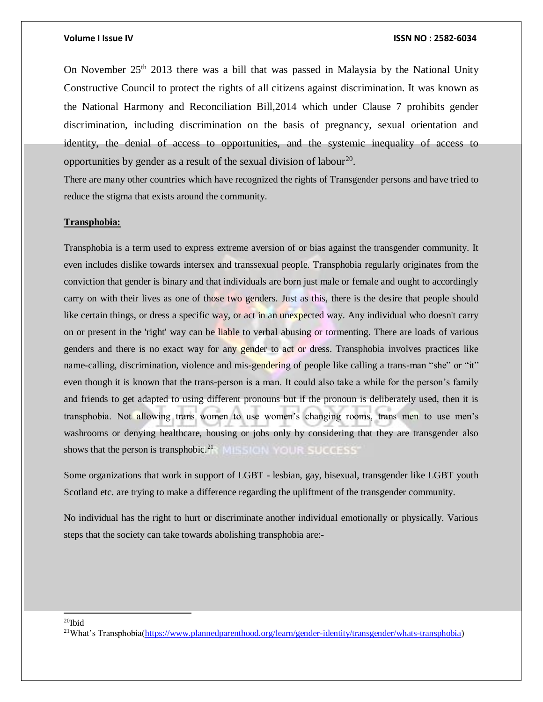On November  $25<sup>th</sup>$  2013 there was a bill that was passed in Malaysia by the National Unity Constructive Council to protect the rights of all citizens against discrimination. It was known as the National Harmony and Reconciliation Bill,2014 which under Clause 7 prohibits gender discrimination, including discrimination on the basis of pregnancy, sexual orientation and identity, the denial of access to opportunities, and the systemic inequality of access to opportunities by gender as a result of the sexual division of labour<sup>20</sup>.

There are many other countries which have recognized the rights of Transgender persons and have tried to reduce the stigma that exists around the community.

### **Transphobia:**

Transphobia is a term used to express extreme aversion of or bias against the transgender community. It even includes dislike towards intersex and transsexual people. Transphobia regularly originates from the conviction that gender is binary and that individuals are born just male or female and ought to accordingly carry on with their lives as one of those two genders. Just as this, there is the desire that people should like certain things, or dress a specific way, or act in an unexpected way. Any individual who doesn't carry on or present in the 'right' way can be liable to verbal abusing or tormenting. There are loads of various genders and there is no exact way for any gender to act or dress. Transphobia involves practices like name-calling, discrimination, violence and mis-gendering of people like calling a trans-man "she" or "it" even though it is known that the trans-person is a man. It could also take a while for the person's family and friends to get adapted to using different pronouns but if the pronoun is deliberately used, then it is transphobia. Not allowing trans women to use women's changing rooms, trans men to use men's washrooms or denying healthcare, housing or jobs only by considering that they are transgender also shows that the person is transphobic.<sup>21</sup> MISSION YOUR SUCCESS'

Some organizations that work in support of LGBT - lesbian, gay, bisexual, transgender like LGBT youth Scotland etc. are trying to make a difference regarding the upliftment of the transgender community.

No individual has the right to hurt or discriminate another individual emotionally or physically. Various steps that the society can take towards abolishing transphobia are:-

#### $20$ Ibid

l

<sup>21</sup>What's Transphobia[\(https://www.plannedparenthood.org/learn/gender-identity/transgender/whats-transphobia\)](https://www.plannedparenthood.org/learn/gender-identity/transgender/whats-transphobia)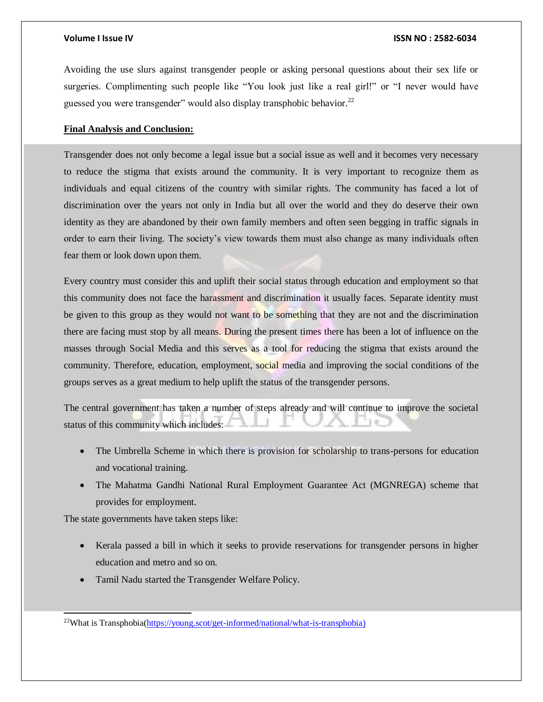Avoiding the use slurs against transgender people or asking personal questions about their sex life or surgeries. Complimenting such people like "You look just like a real girl!" or "I never would have guessed you were transgender" would also display transphobic behavior.<sup>22</sup>

### **Final Analysis and Conclusion:**

Transgender does not only become a legal issue but a social issue as well and it becomes very necessary to reduce the stigma that exists around the community. It is very important to recognize them as individuals and equal citizens of the country with similar rights. The community has faced a lot of discrimination over the years not only in India but all over the world and they do deserve their own identity as they are abandoned by their own family members and often seen begging in traffic signals in order to earn their living. The society's view towards them must also change as many individuals often fear them or look down upon them.

Every country must consider this and uplift their social status through education and employment so that this community does not face the harassment and discrimination it usually faces. Separate identity must be given to this group as they would not want to be something that they are not and the discrimination there are facing must stop by all means. During the present times there has been a lot of influence on the masses through Social Media and this serves as a tool for reducing the stigma that exists around the community. Therefore, education, employment, social media and improving the social conditions of the groups serves as a great medium to help uplift the status of the transgender persons.

The central government has taken a number of steps already and will continue to improve the societal status of this community which includes:

- The Umbrella Scheme in which there is provision for scholarship to trans-persons for education and vocational training.
- The Mahatma Gandhi National Rural Employment Guarantee Act (MGNREGA) scheme that provides for employment.

The state governments have taken steps like:

l

- Kerala passed a bill in which it seeks to provide reservations for transgender persons in higher education and metro and so on.
- Tamil Nadu started the Transgender Welfare Policy.

22What is Transphobia[\(https://young.scot/get-informed/national/what-is-transphobia\)](https://young.scot/get-informed/national/what-is-transphobia)